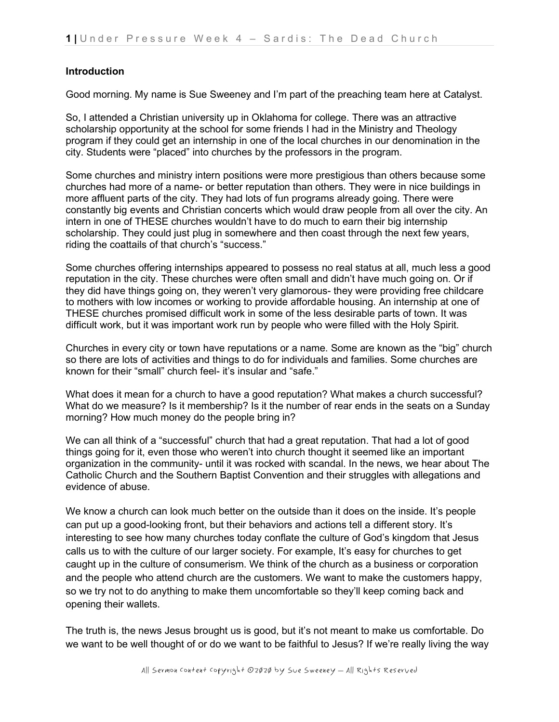## **Introduction**

Good morning. My name is Sue Sweeney and I'm part of the preaching team here at Catalyst.

So, I attended a Christian university up in Oklahoma for college. There was an attractive scholarship opportunity at the school for some friends I had in the Ministry and Theology program if they could get an internship in one of the local churches in our denomination in the city. Students were "placed" into churches by the professors in the program.

Some churches and ministry intern positions were more prestigious than others because some churches had more of a name- or better reputation than others. They were in nice buildings in more affluent parts of the city. They had lots of fun programs already going. There were constantly big events and Christian concerts which would draw people from all over the city. An intern in one of THESE churches wouldn't have to do much to earn their big internship scholarship. They could just plug in somewhere and then coast through the next few years, riding the coattails of that church's "success."

Some churches offering internships appeared to possess no real status at all, much less a good reputation in the city. These churches were often small and didn't have much going on. Or if they did have things going on, they weren't very glamorous- they were providing free childcare to mothers with low incomes or working to provide affordable housing. An internship at one of THESE churches promised difficult work in some of the less desirable parts of town. It was difficult work, but it was important work run by people who were filled with the Holy Spirit.

Churches in every city or town have reputations or a name. Some are known as the "big" church so there are lots of activities and things to do for individuals and families. Some churches are known for their "small" church feel- it's insular and "safe."

What does it mean for a church to have a good reputation? What makes a church successful? What do we measure? Is it membership? Is it the number of rear ends in the seats on a Sunday morning? How much money do the people bring in?

We can all think of a "successful" church that had a great reputation. That had a lot of good things going for it, even those who weren't into church thought it seemed like an important organization in the community- until it was rocked with scandal. In the news, we hear about The Catholic Church and the Southern Baptist Convention and their struggles with allegations and evidence of abuse.

We know a church can look much better on the outside than it does on the inside. It's people can put up a good-looking front, but their behaviors and actions tell a different story. It's interesting to see how many churches today conflate the culture of God's kingdom that Jesus calls us to with the culture of our larger society. For example, It's easy for churches to get caught up in the culture of consumerism. We think of the church as a business or corporation and the people who attend church are the customers. We want to make the customers happy, so we try not to do anything to make them uncomfortable so they'll keep coming back and opening their wallets.

The truth is, the news Jesus brought us is good, but it's not meant to make us comfortable. Do we want to be well thought of or do we want to be faithful to Jesus? If we're really living the way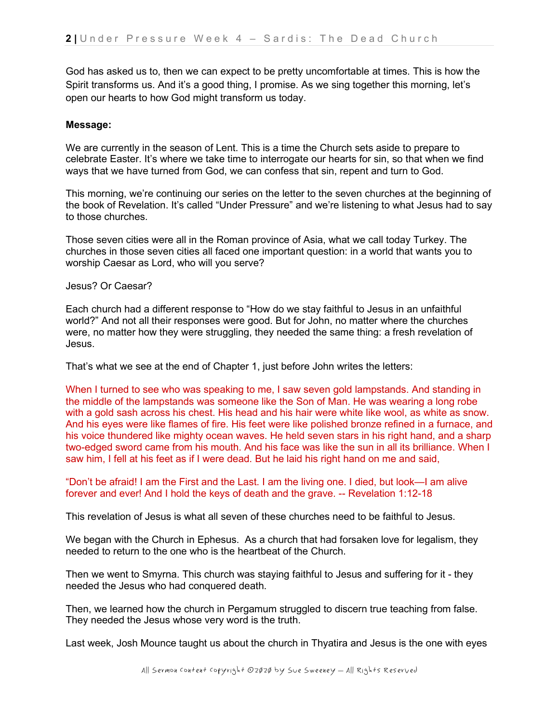God has asked us to, then we can expect to be pretty uncomfortable at times. This is how the Spirit transforms us. And it's a good thing, I promise. As we sing together this morning, let's open our hearts to how God might transform us today.

### **Message:**

We are currently in the season of Lent. This is a time the Church sets aside to prepare to celebrate Easter. It's where we take time to interrogate our hearts for sin, so that when we find ways that we have turned from God, we can confess that sin, repent and turn to God.

This morning, we're continuing our series on the letter to the seven churches at the beginning of the book of Revelation. It's called "Under Pressure" and we're listening to what Jesus had to say to those churches.

Those seven cities were all in the Roman province of Asia, what we call today Turkey. The churches in those seven cities all faced one important question: in a world that wants you to worship Caesar as Lord, who will you serve?

Jesus? Or Caesar?

Each church had a different response to "How do we stay faithful to Jesus in an unfaithful world?" And not all their responses were good. But for John, no matter where the churches were, no matter how they were struggling, they needed the same thing: a fresh revelation of Jesus.

That's what we see at the end of Chapter 1, just before John writes the letters:

When I turned to see who was speaking to me, I saw seven gold lampstands. And standing in the middle of the lampstands was someone like the Son of Man. He was wearing a long robe with a gold sash across his chest. His head and his hair were white like wool, as white as snow. And his eyes were like flames of fire. His feet were like polished bronze refined in a furnace, and his voice thundered like mighty ocean waves. He held seven stars in his right hand, and a sharp two-edged sword came from his mouth. And his face was like the sun in all its brilliance. When I saw him, I fell at his feet as if I were dead. But he laid his right hand on me and said,

"Don't be afraid! I am the First and the Last. I am the living one. I died, but look—I am alive forever and ever! And I hold the keys of death and the grave. -- Revelation 1:12-18

This revelation of Jesus is what all seven of these churches need to be faithful to Jesus.

We began with the Church in Ephesus. As a church that had forsaken love for legalism, they needed to return to the one who is the heartbeat of the Church.

Then we went to Smyrna. This church was staying faithful to Jesus and suffering for it - they needed the Jesus who had conquered death.

Then, we learned how the church in Pergamum struggled to discern true teaching from false. They needed the Jesus whose very word is the truth.

Last week, Josh Mounce taught us about the church in Thyatira and Jesus is the one with eyes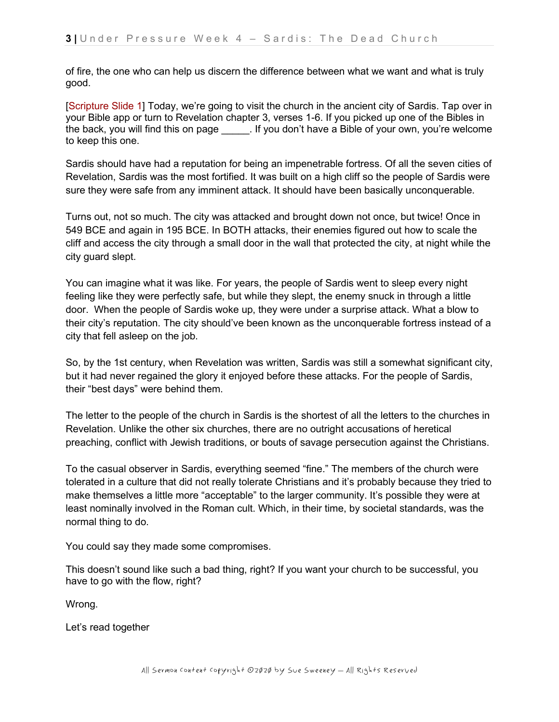of fire, the one who can help us discern the difference between what we want and what is truly good.

[Scripture Slide 1] Today, we're going to visit the church in the ancient city of Sardis. Tap over in your Bible app or turn to Revelation chapter 3, verses 1-6. If you picked up one of the Bibles in the back, you will find this on page \_\_\_\_\_. If you don't have a Bible of your own, you're welcome to keep this one.

Sardis should have had a reputation for being an impenetrable fortress. Of all the seven cities of Revelation, Sardis was the most fortified. It was built on a high cliff so the people of Sardis were sure they were safe from any imminent attack. It should have been basically unconquerable.

Turns out, not so much. The city was attacked and brought down not once, but twice! Once in 549 BCE and again in 195 BCE. In BOTH attacks, their enemies figured out how to scale the cliff and access the city through a small door in the wall that protected the city, at night while the city guard slept.

You can imagine what it was like. For years, the people of Sardis went to sleep every night feeling like they were perfectly safe, but while they slept, the enemy snuck in through a little door. When the people of Sardis woke up, they were under a surprise attack. What a blow to their city's reputation. The city should've been known as the unconquerable fortress instead of a city that fell asleep on the job.

So, by the 1st century, when Revelation was written, Sardis was still a somewhat significant city, but it had never regained the glory it enjoyed before these attacks. For the people of Sardis, their "best days" were behind them.

The letter to the people of the church in Sardis is the shortest of all the letters to the churches in Revelation. Unlike the other six churches, there are no outright accusations of heretical preaching, conflict with Jewish traditions, or bouts of savage persecution against the Christians.

To the casual observer in Sardis, everything seemed "fine." The members of the church were tolerated in a culture that did not really tolerate Christians and it's probably because they tried to make themselves a little more "acceptable" to the larger community. It's possible they were at least nominally involved in the Roman cult. Which, in their time, by societal standards, was the normal thing to do.

You could say they made some compromises.

This doesn't sound like such a bad thing, right? If you want your church to be successful, you have to go with the flow, right?

Wrong.

Let's read together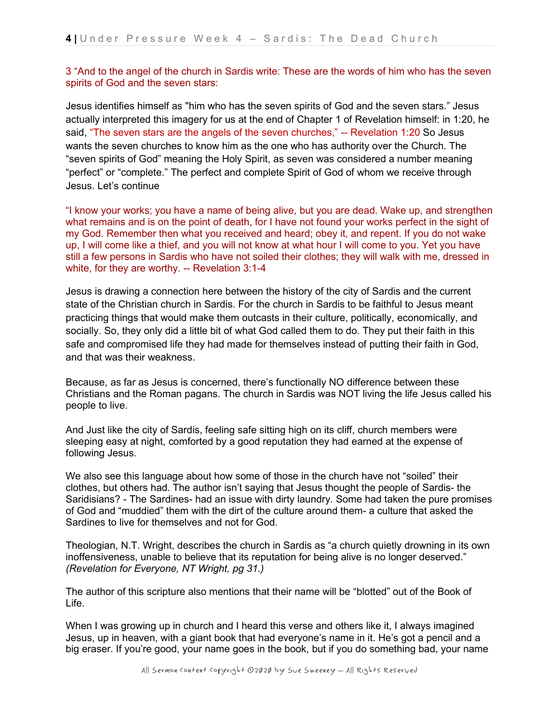3 "And to the angel of the church in Sardis write: These are the words of him who has the seven spirits of God and the seven stars:

Jesus identifies himself as "him who has the seven spirits of God and the seven stars." Jesus actually interpreted this imagery for us at the end of Chapter 1 of Revelation himself: in 1:20, he said, "The seven stars are the angels of the seven churches," -- Revelation 1:20 So Jesus wants the seven churches to know him as the one who has authority over the Church. The "seven spirits of God" meaning the Holy Spirit, as seven was considered a number meaning "perfect" or "complete." The perfect and complete Spirit of God of whom we receive through Jesus. Let's continue

"I know your works; you have a name of being alive, but you are dead. Wake up, and strengthen what remains and is on the point of death, for I have not found your works perfect in the sight of my God. Remember then what you received and heard; obey it, and repent. If you do not wake up, I will come like a thief, and you will not know at what hour I will come to you. Yet you have still a few persons in Sardis who have not soiled their clothes; they will walk with me, dressed in white, for they are worthy. -- Revelation 3:1-4

Jesus is drawing a connection here between the history of the city of Sardis and the current state of the Christian church in Sardis. For the church in Sardis to be faithful to Jesus meant practicing things that would make them outcasts in their culture, politically, economically, and socially. So, they only did a little bit of what God called them to do. They put their faith in this safe and compromised life they had made for themselves instead of putting their faith in God, and that was their weakness.

Because, as far as Jesus is concerned, there's functionally NO difference between these Christians and the Roman pagans. The church in Sardis was NOT living the life Jesus called his people to live.

And Just like the city of Sardis, feeling safe sitting high on its cliff, church members were sleeping easy at night, comforted by a good reputation they had earned at the expense of following Jesus.

We also see this language about how some of those in the church have not "soiled" their clothes, but others had. The author isn't saying that Jesus thought the people of Sardis- the Saridisians? - The Sardines- had an issue with dirty laundry. Some had taken the pure promises of God and "muddied" them with the dirt of the culture around them- a culture that asked the Sardines to live for themselves and not for God.

Theologian, N.T. Wright, describes the church in Sardis as "a church quietly drowning in its own inoffensiveness, unable to believe that its reputation for being alive is no longer deserved." *(Revelation for Everyone, NT Wright, pg 31.)*

The author of this scripture also mentions that their name will be "blotted" out of the Book of Life.

When I was growing up in church and I heard this verse and others like it, I always imagined Jesus, up in heaven, with a giant book that had everyone's name in it. He's got a pencil and a big eraser. If you're good, your name goes in the book, but if you do something bad, your name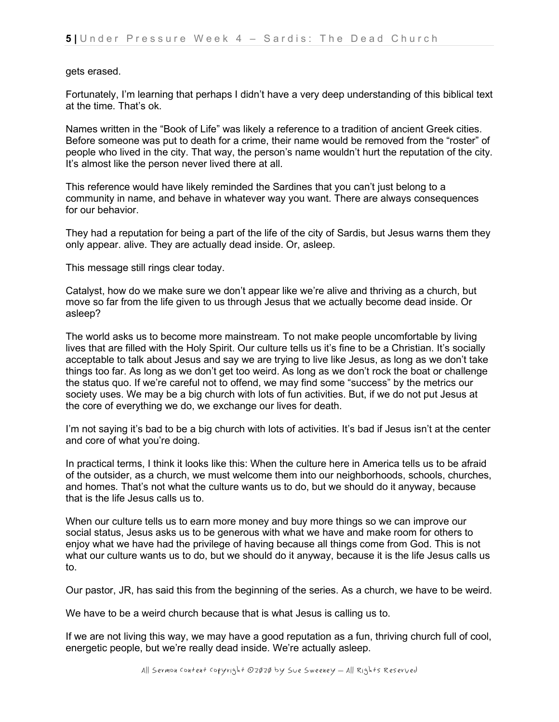#### gets erased.

Fortunately, I'm learning that perhaps I didn't have a very deep understanding of this biblical text at the time. That's ok.

Names written in the "Book of Life" was likely a reference to a tradition of ancient Greek cities. Before someone was put to death for a crime, their name would be removed from the "roster" of people who lived in the city. That way, the person's name wouldn't hurt the reputation of the city. It's almost like the person never lived there at all.

This reference would have likely reminded the Sardines that you can't just belong to a community in name, and behave in whatever way you want. There are always consequences for our behavior.

They had a reputation for being a part of the life of the city of Sardis, but Jesus warns them they only appear. alive. They are actually dead inside. Or, asleep.

This message still rings clear today.

Catalyst, how do we make sure we don't appear like we're alive and thriving as a church, but move so far from the life given to us through Jesus that we actually become dead inside. Or asleep?

The world asks us to become more mainstream. To not make people uncomfortable by living lives that are filled with the Holy Spirit. Our culture tells us it's fine to be a Christian. It's socially acceptable to talk about Jesus and say we are trying to live like Jesus, as long as we don't take things too far. As long as we don't get too weird. As long as we don't rock the boat or challenge the status quo. If we're careful not to offend, we may find some "success" by the metrics our society uses. We may be a big church with lots of fun activities. But, if we do not put Jesus at the core of everything we do, we exchange our lives for death.

I'm not saying it's bad to be a big church with lots of activities. It's bad if Jesus isn't at the center and core of what you're doing.

In practical terms, I think it looks like this: When the culture here in America tells us to be afraid of the outsider, as a church, we must welcome them into our neighborhoods, schools, churches, and homes. That's not what the culture wants us to do, but we should do it anyway, because that is the life Jesus calls us to.

When our culture tells us to earn more money and buy more things so we can improve our social status, Jesus asks us to be generous with what we have and make room for others to enjoy what we have had the privilege of having because all things come from God. This is not what our culture wants us to do, but we should do it anyway, because it is the life Jesus calls us to.

Our pastor, JR, has said this from the beginning of the series. As a church, we have to be weird.

We have to be a weird church because that is what Jesus is calling us to.

If we are not living this way, we may have a good reputation as a fun, thriving church full of cool, energetic people, but we're really dead inside. We're actually asleep.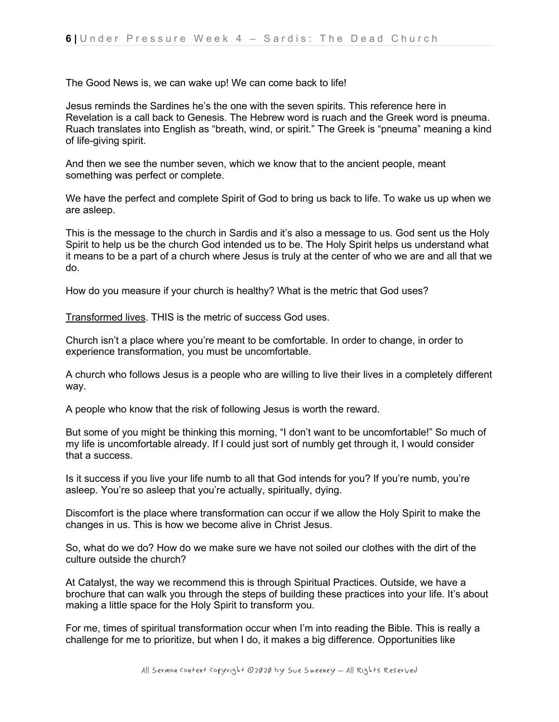The Good News is, we can wake up! We can come back to life!

Jesus reminds the Sardines he's the one with the seven spirits. This reference here in Revelation is a call back to Genesis. The Hebrew word is ruach and the Greek word is pneuma. Ruach translates into English as "breath, wind, or spirit." The Greek is "pneuma" meaning a kind of life-giving spirit.

And then we see the number seven, which we know that to the ancient people, meant something was perfect or complete.

We have the perfect and complete Spirit of God to bring us back to life. To wake us up when we are asleep.

This is the message to the church in Sardis and it's also a message to us. God sent us the Holy Spirit to help us be the church God intended us to be. The Holy Spirit helps us understand what it means to be a part of a church where Jesus is truly at the center of who we are and all that we do.

How do you measure if your church is healthy? What is the metric that God uses?

Transformed lives. THIS is the metric of success God uses.

Church isn't a place where you're meant to be comfortable. In order to change, in order to experience transformation, you must be uncomfortable.

A church who follows Jesus is a people who are willing to live their lives in a completely different way.

A people who know that the risk of following Jesus is worth the reward.

But some of you might be thinking this morning, "I don't want to be uncomfortable!" So much of my life is uncomfortable already. If I could just sort of numbly get through it, I would consider that a success.

Is it success if you live your life numb to all that God intends for you? If you're numb, you're asleep. You're so asleep that you're actually, spiritually, dying.

Discomfort is the place where transformation can occur if we allow the Holy Spirit to make the changes in us. This is how we become alive in Christ Jesus.

So, what do we do? How do we make sure we have not soiled our clothes with the dirt of the culture outside the church?

At Catalyst, the way we recommend this is through Spiritual Practices. Outside, we have a brochure that can walk you through the steps of building these practices into your life. It's about making a little space for the Holy Spirit to transform you.

For me, times of spiritual transformation occur when I'm into reading the Bible. This is really a challenge for me to prioritize, but when I do, it makes a big difference. Opportunities like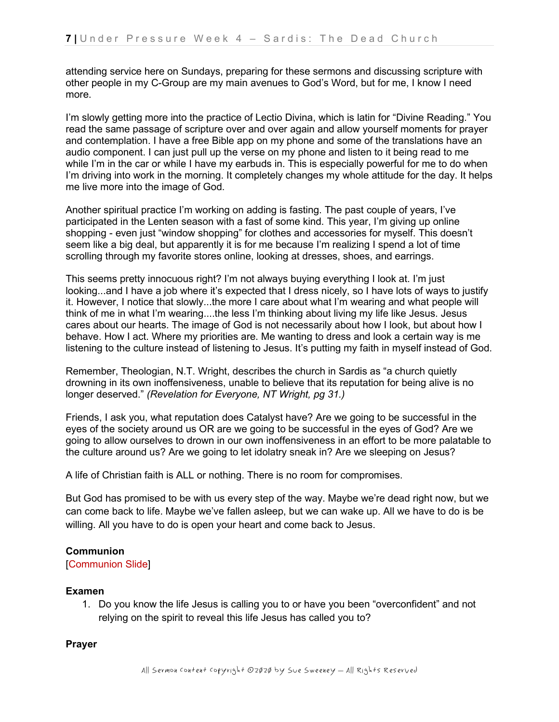attending service here on Sundays, preparing for these sermons and discussing scripture with other people in my C-Group are my main avenues to God's Word, but for me, I know I need more.

I'm slowly getting more into the practice of Lectio Divina, which is latin for "Divine Reading." You read the same passage of scripture over and over again and allow yourself moments for prayer and contemplation. I have a free Bible app on my phone and some of the translations have an audio component. I can just pull up the verse on my phone and listen to it being read to me while I'm in the car or while I have my earbuds in. This is especially powerful for me to do when I'm driving into work in the morning. It completely changes my whole attitude for the day. It helps me live more into the image of God.

Another spiritual practice I'm working on adding is fasting. The past couple of years, I've participated in the Lenten season with a fast of some kind. This year, I'm giving up online shopping - even just "window shopping" for clothes and accessories for myself. This doesn't seem like a big deal, but apparently it is for me because I'm realizing I spend a lot of time scrolling through my favorite stores online, looking at dresses, shoes, and earrings.

This seems pretty innocuous right? I'm not always buying everything I look at. I'm just looking...and I have a job where it's expected that I dress nicely, so I have lots of ways to justify it. However, I notice that slowly...the more I care about what I'm wearing and what people will think of me in what I'm wearing....the less I'm thinking about living my life like Jesus. Jesus cares about our hearts. The image of God is not necessarily about how I look, but about how I behave. How I act. Where my priorities are. Me wanting to dress and look a certain way is me listening to the culture instead of listening to Jesus. It's putting my faith in myself instead of God.

Remember, Theologian, N.T. Wright, describes the church in Sardis as "a church quietly drowning in its own inoffensiveness, unable to believe that its reputation for being alive is no longer deserved." *(Revelation for Everyone, NT Wright, pg 31.)*

Friends, I ask you, what reputation does Catalyst have? Are we going to be successful in the eyes of the society around us OR are we going to be successful in the eyes of God? Are we going to allow ourselves to drown in our own inoffensiveness in an effort to be more palatable to the culture around us? Are we going to let idolatry sneak in? Are we sleeping on Jesus?

A life of Christian faith is ALL or nothing. There is no room for compromises.

But God has promised to be with us every step of the way. Maybe we're dead right now, but we can come back to life. Maybe we've fallen asleep, but we can wake up. All we have to do is be willing. All you have to do is open your heart and come back to Jesus.

### **Communion**

### [Communion Slide]

#### **Examen**

1. Do you know the life Jesus is calling you to or have you been "overconfident" and not relying on the spirit to reveal this life Jesus has called you to?

### **Prayer**